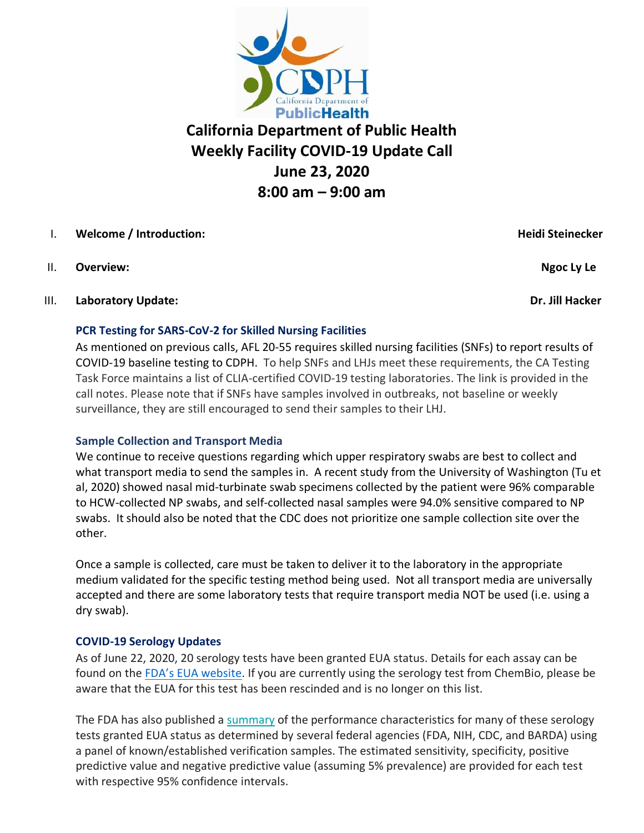

# **California Department of Public Health Weekly Facility COVID-19 Update Call June 23, 2020 8:00 am – 9:00 am**

## I. **Welcome / Introduction: Heidi Steinecker**

II. Overview: **Ngoc Ly Le** 

### III. **Laboratory Update: Dr. Jill Hacker**

#### **PCR Testing for SARS-CoV-2 for Skilled Nursing Facilities**

As mentioned on previous calls, AFL 20-55 requires skilled nursing facilities (SNFs) to report results of COVID-19 baseline testing to CDPH. To help SNFs and LHJs meet these requirements, the CA Testing Task Force maintains a list of CLIA-certified COVID-19 testing laboratories. The link is provided in the call notes. Please note that if SNFs have samples involved in outbreaks, not baseline or weekly surveillance, they are still encouraged to send their samples to their LHJ.

### **Sample Collection and Transport Media**

We continue to receive questions regarding which upper respiratory swabs are best to collect and what transport media to send the samples in. A recent study from the University of Washington (Tu et al, 2020) showed nasal mid-turbinate swab specimens collected by the patient were 96% comparable to HCW-collected NP swabs, and self-collected nasal samples were 94.0% sensitive compared to NP swabs. It should also be noted that the CDC does not prioritize one sample collection site over the other.

Once a sample is collected, care must be taken to deliver it to the laboratory in the appropriate medium validated for the specific testing method being used. Not all transport media are universally accepted and there are some laboratory tests that require transport media NOT be used (i.e. using a dry swab).

### **COVID-19 Serology Updates**

As of June 22, 2020, 20 serology tests have been granted EUA status. Details for each assay can be found on the FD[A's EUA website](https://www.fda.gov/emergency-preparedness-and-response/mcm-legal-regulatory-and-policy-framework/emergency-use-authorization). If you are currently using the serology test from ChemBio, please be aware that the EUA for this test has been rescinded and is no longer on this list.

The FDA has also published a [summary](https://urldefense.proofpoint.com/v2/url?u=http-3A__send.aphl.org_link.cfm-3Fr-3DiQKCx5sybUZ7oI-2D1S9ozcg-7E-7E-26pe-3DrB6D0W8F-5FcFS88M80M2KTLLhaZIGtyAHgV2xZAtpt0AQDBba1PDl-2DKeyN5XOWyjR08nSrEU0Zga1AXQ1IL9g0g-7E-7E-26t-3D9VpGWef2McJC-5F01CvcBpLw-7E-7E&d=DwMFAw&c=Lr0a7ed3egkbwePCNW4ROg&r=tNU4Weo774hb_EnZGepsGxeWS95GtYJS81Jd0OqaTNk&m=eTcD8l_OqAoU_Li5qmQXa_B4qeOeub66srH-Ifk20jM&s=XLN4dUnNg4b8JLN2LloOaasjKJA_LqGZTZKKoU-MEts&e=) of the performance characteristics for many of these serology tests granted EUA status as determined by several federal agencies (FDA, NIH, CDC, and BARDA) using a panel of known/established verification samples. The estimated sensitivity, specificity, positive predictive value and negative predictive value (assuming 5% prevalence) are provided for each test with respective 95% confidence intervals.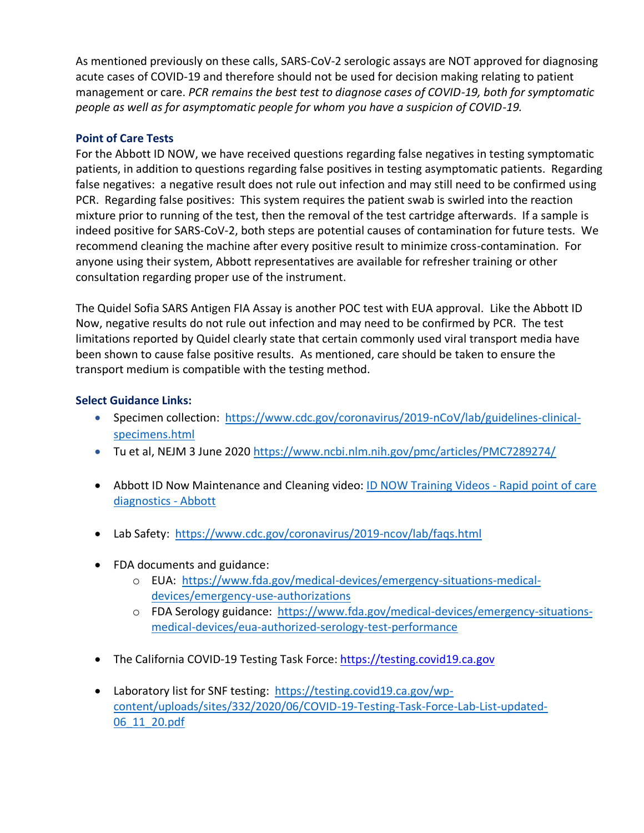As mentioned previously on these calls, SARS-CoV-2 serologic assays are NOT approved for diagnosing acute cases of COVID-19 and therefore should not be used for decision making relating to patient management or care. *PCR remains the best test to diagnose cases of COVID-19, both for symptomatic people as well as for asymptomatic people for whom you have a suspicion of COVID-19.*

#### **Point of Care Tests**

For the Abbott ID NOW, we have received questions regarding false negatives in testing symptomatic patients, in addition to questions regarding false positives in testing asymptomatic patients. Regarding false negatives: a negative result does not rule out infection and may still need to be confirmed using PCR. Regarding false positives: This system requires the patient swab is swirled into the reaction mixture prior to running of the test, then the removal of the test cartridge afterwards. If a sample is indeed positive for SARS-CoV-2, both steps are potential causes of contamination for future tests. We recommend cleaning the machine after every positive result to minimize cross-contamination. For anyone using their system, Abbott representatives are available for refresher training or other consultation regarding proper use of the instrument.

The Quidel Sofia SARS Antigen FIA Assay is another POC test with EUA approval. Like the Abbott ID Now, negative results do not rule out infection and may need to be confirmed by PCR. The test limitations reported by Quidel clearly state that certain commonly used viral transport media have been shown to cause false positive results. As mentioned, care should be taken to ensure the transport medium is compatible with the testing method.

#### **Select Guidance Links:**

- Specimen collection:[https://www.cdc.gov/coronavirus/2019-nCoV/lab/guidelines-clinical](https://www.cdc.gov/coronavirus/2019-nCoV/lab/guidelines-clinical-specimens.html)[specimens.html](https://www.cdc.gov/coronavirus/2019-nCoV/lab/guidelines-clinical-specimens.html)
- Tu et al, NEJM 3 June 2020<https://www.ncbi.nlm.nih.gov/pmc/articles/PMC7289274/>
- Abbott ID Now Maintenance and Cleaning video: [ID NOW Training Videos -](https://www.alere.com/en/home/support/product-demos/id-now-training-videos.html?wvideo=5ihjdegwuf) Rapid point of care [diagnostics -](https://www.alere.com/en/home/support/product-demos/id-now-training-videos.html?wvideo=5ihjdegwuf) Abbott
- Lab Safety: <https://www.cdc.gov/coronavirus/2019-ncov/lab/faqs.html>
- FDA documents and guidance:
	- o EUA: [https://www.fda.gov/medical-devices/emergency-situations-medical](https://www.fda.gov/medical-devices/emergency-situations-medical-devices/emergency-use-authorizations)[devices/emergency-use-authorizations](https://www.fda.gov/medical-devices/emergency-situations-medical-devices/emergency-use-authorizations)
	- o FDA Serology guidance: [https://www.fda.gov/medical-devices/emergency-situations](https://www.fda.gov/medical-devices/emergency-situations-medical-devices/eua-authorized-serology-test-performance)[medical-devices/eua-authorized-serology-test-performance](https://www.fda.gov/medical-devices/emergency-situations-medical-devices/eua-authorized-serology-test-performance)
- The California COVID-19 Testing Task Force: [https://testing.covid19.ca.gov](https://testing.covid19.ca.gov/)
- Laboratory list for SNF testing: [https://testing.covid19.ca.gov/wp](https://testing.covid19.ca.gov/wp-content/uploads/sites/332/2020/06/COVID-19-Testing-Task-Force-Lab-List-updated-06_11_20.pdf)[content/uploads/sites/332/2020/06/COVID-19-Testing-Task-Force-Lab-List-updated-](https://testing.covid19.ca.gov/wp-content/uploads/sites/332/2020/06/COVID-19-Testing-Task-Force-Lab-List-updated-06_11_20.pdf)[06\\_11\\_20.pdf](https://testing.covid19.ca.gov/wp-content/uploads/sites/332/2020/06/COVID-19-Testing-Task-Force-Lab-List-updated-06_11_20.pdf)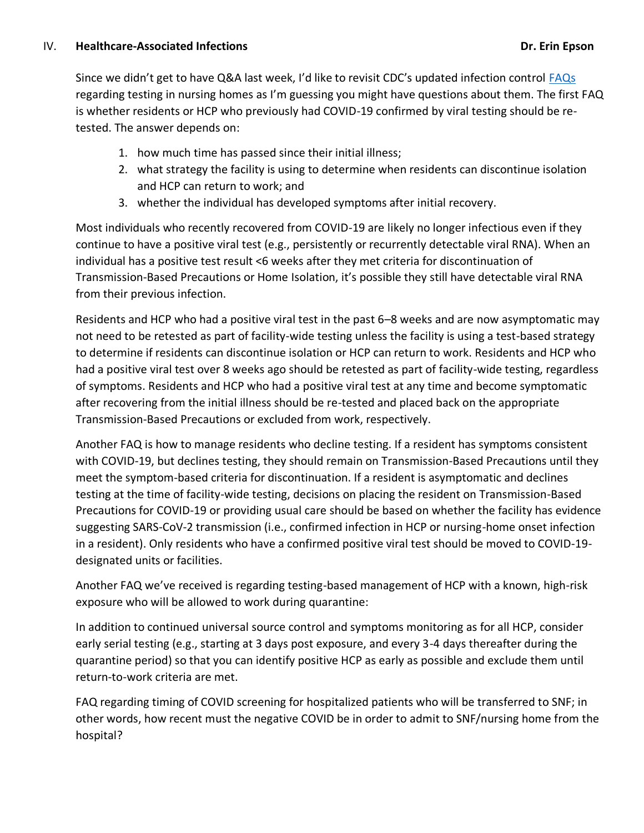Since we didn't get to have Q&A last week, I'd like to revisit CDC's updated infection control [FAQs](https://www.cdc.gov/coronavirus/2019-ncov/hcp/infection-control-faq.html) regarding testing in nursing homes as I'm guessing you might have questions about them. The first FAQ is whether residents or HCP who previously had COVID-19 confirmed by viral testing should be retested. The answer depends on:

- 1. how much time has passed since their initial illness;
- 2. what strategy the facility is using to determine when residents can discontinue isolation and HCP can return to work; and
- 3. whether the individual has developed symptoms after initial recovery.

Most individuals who recently recovered from COVID-19 are likely no longer infectious even if they continue to have a positive viral test (e.g., persistently or recurrently detectable viral RNA). When an individual has a positive test result <6 weeks after they met criteria for discontinuation of Transmission-Based Precautions or Home Isolation, it's possible they still have detectable viral RNA from their previous infection.

Residents and HCP who had a positive viral test in the past 6–8 weeks and are now asymptomatic may not need to be retested as part of facility-wide testing unless the facility is using a test-based strategy to determine if residents can discontinue isolation or HCP can return to work. Residents and HCP who had a positive viral test over 8 weeks ago should be retested as part of facility-wide testing, regardless of symptoms. Residents and HCP who had a positive viral test at any time and become symptomatic after recovering from the initial illness should be re-tested and placed back on the appropriate Transmission-Based Precautions or excluded from work, respectively.

Another FAQ is how to manage residents who decline testing. If a resident has symptoms consistent with COVID-19, but declines testing, they should remain on Transmission-Based Precautions until they meet the symptom-based criteria for discontinuation. If a resident is asymptomatic and declines testing at the time of facility-wide testing, decisions on placing the resident on Transmission-Based Precautions for COVID-19 or providing usual care should be based on whether the facility has evidence suggesting SARS-CoV-2 transmission (i.e., confirmed infection in HCP or nursing-home onset infection in a resident). Only residents who have a confirmed positive viral test should be moved to COVID-19 designated units or facilities.

Another FAQ we've received is regarding testing-based management of HCP with a known, high-risk exposure who will be allowed to work during quarantine:

In addition to continued universal source control and symptoms monitoring as for all HCP, consider early serial testing (e.g., starting at 3 days post exposure, and every 3-4 days thereafter during the quarantine period) so that you can identify positive HCP as early as possible and exclude them until return-to-work criteria are met.

FAQ regarding timing of COVID screening for hospitalized patients who will be transferred to SNF; in other words, how recent must the negative COVID be in order to admit to SNF/nursing home from the hospital?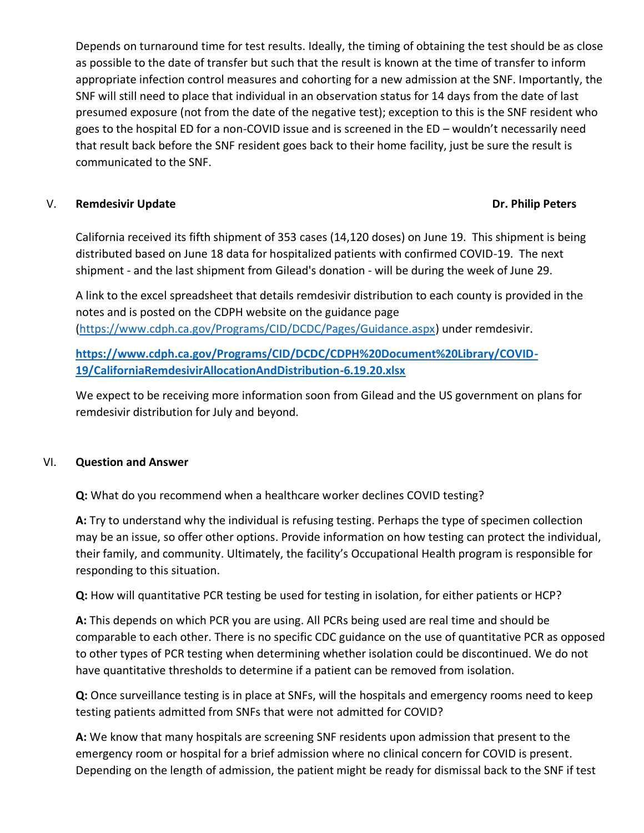Depends on turnaround time for test results. Ideally, the timing of obtaining the test should be as close as possible to the date of transfer but such that the result is known at the time of transfer to inform appropriate infection control measures and cohorting for a new admission at the SNF. Importantly, the SNF will still need to place that individual in an observation status for 14 days from the date of last presumed exposure (not from the date of the negative test); exception to this is the SNF resident who goes to the hospital ED for a non-COVID issue and is screened in the ED – wouldn't necessarily need that result back before the SNF resident goes back to their home facility, just be sure the result is communicated to the SNF.

### V. **Remdesivir Update Dr. Philip Peters**

California received its fifth shipment of 353 cases (14,120 doses) on June 19. This shipment is being distributed based on June 18 data for hospitalized patients with confirmed COVID-19. The next shipment - and the last shipment from Gilead's donation - will be during the week of June 29.

A link to the excel spreadsheet that details remdesivir distribution to each county is provided in the notes and is posted on the CDPH website on the guidance page [\(https://www.cdph.ca.gov/Programs/CID/DCDC/Pages/Guidance.aspx\)](https://www.cdph.ca.gov/Programs/CID/DCDC/Pages/Guidance.aspx) under remdesivir.

**[https://www.cdph.ca.gov/Programs/CID/DCDC/CDPH%20Document%20Library/COVID-](https://www.cdph.ca.gov/Programs/CID/DCDC/CDPH%20Document%20Library/COVID-19/CaliforniaRemdesivirAllocationAndDistribution-6.19.20.xlsx)[19/CaliforniaRemdesivirAllocationAndDistribution-6.19.20.xlsx](https://www.cdph.ca.gov/Programs/CID/DCDC/CDPH%20Document%20Library/COVID-19/CaliforniaRemdesivirAllocationAndDistribution-6.19.20.xlsx)**

We expect to be receiving more information soon from Gilead and the US government on plans for remdesivir distribution for July and beyond.

#### VI. **Question and Answer**

**Q:** What do you recommend when a healthcare worker declines COVID testing?

**A:** Try to understand why the individual is refusing testing. Perhaps the type of specimen collection may be an issue, so offer other options. Provide information on how testing can protect the individual, their family, and community. Ultimately, the facility's Occupational Health program is responsible for responding to this situation.

**Q:** How will quantitative PCR testing be used for testing in isolation, for either patients or HCP?

**A:** This depends on which PCR you are using. All PCRs being used are real time and should be comparable to each other. There is no specific CDC guidance on the use of quantitative PCR as opposed to other types of PCR testing when determining whether isolation could be discontinued. We do not have quantitative thresholds to determine if a patient can be removed from isolation.

**Q:** Once surveillance testing is in place at SNFs, will the hospitals and emergency rooms need to keep testing patients admitted from SNFs that were not admitted for COVID?

**A:** We know that many hospitals are screening SNF residents upon admission that present to the emergency room or hospital for a brief admission where no clinical concern for COVID is present. Depending on the length of admission, the patient might be ready for dismissal back to the SNF if test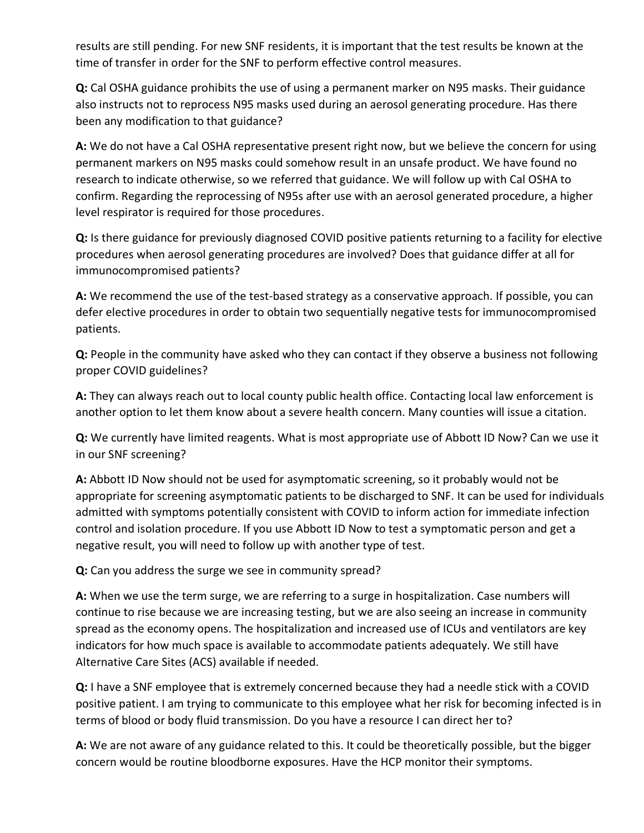results are still pending. For new SNF residents, it is important that the test results be known at the time of transfer in order for the SNF to perform effective control measures.

**Q:** Cal OSHA guidance prohibits the use of using a permanent marker on N95 masks. Their guidance also instructs not to reprocess N95 masks used during an aerosol generating procedure. Has there been any modification to that guidance?

**A:** We do not have a Cal OSHA representative present right now, but we believe the concern for using permanent markers on N95 masks could somehow result in an unsafe product. We have found no research to indicate otherwise, so we referred that guidance. We will follow up with Cal OSHA to confirm. Regarding the reprocessing of N95s after use with an aerosol generated procedure, a higher level respirator is required for those procedures.

**Q:** Is there guidance for previously diagnosed COVID positive patients returning to a facility for elective procedures when aerosol generating procedures are involved? Does that guidance differ at all for immunocompromised patients?

**A:** We recommend the use of the test-based strategy as a conservative approach. If possible, you can defer elective procedures in order to obtain two sequentially negative tests for immunocompromised patients.

**Q:** People in the community have asked who they can contact if they observe a business not following proper COVID guidelines?

**A:** They can always reach out to local county public health office. Contacting local law enforcement is another option to let them know about a severe health concern. Many counties will issue a citation.

**Q:** We currently have limited reagents. What is most appropriate use of Abbott ID Now? Can we use it in our SNF screening?

**A:** Abbott ID Now should not be used for asymptomatic screening, so it probably would not be appropriate for screening asymptomatic patients to be discharged to SNF. It can be used for individuals admitted with symptoms potentially consistent with COVID to inform action for immediate infection control and isolation procedure. If you use Abbott ID Now to test a symptomatic person and get a negative result, you will need to follow up with another type of test.

**Q:** Can you address the surge we see in community spread?

**A:** When we use the term surge, we are referring to a surge in hospitalization. Case numbers will continue to rise because we are increasing testing, but we are also seeing an increase in community spread as the economy opens. The hospitalization and increased use of ICUs and ventilators are key indicators for how much space is available to accommodate patients adequately. We still have Alternative Care Sites (ACS) available if needed.

**Q:** I have a SNF employee that is extremely concerned because they had a needle stick with a COVID positive patient. I am trying to communicate to this employee what her risk for becoming infected is in terms of blood or body fluid transmission. Do you have a resource I can direct her to?

**A:** We are not aware of any guidance related to this. It could be theoretically possible, but the bigger concern would be routine bloodborne exposures. Have the HCP monitor their symptoms.